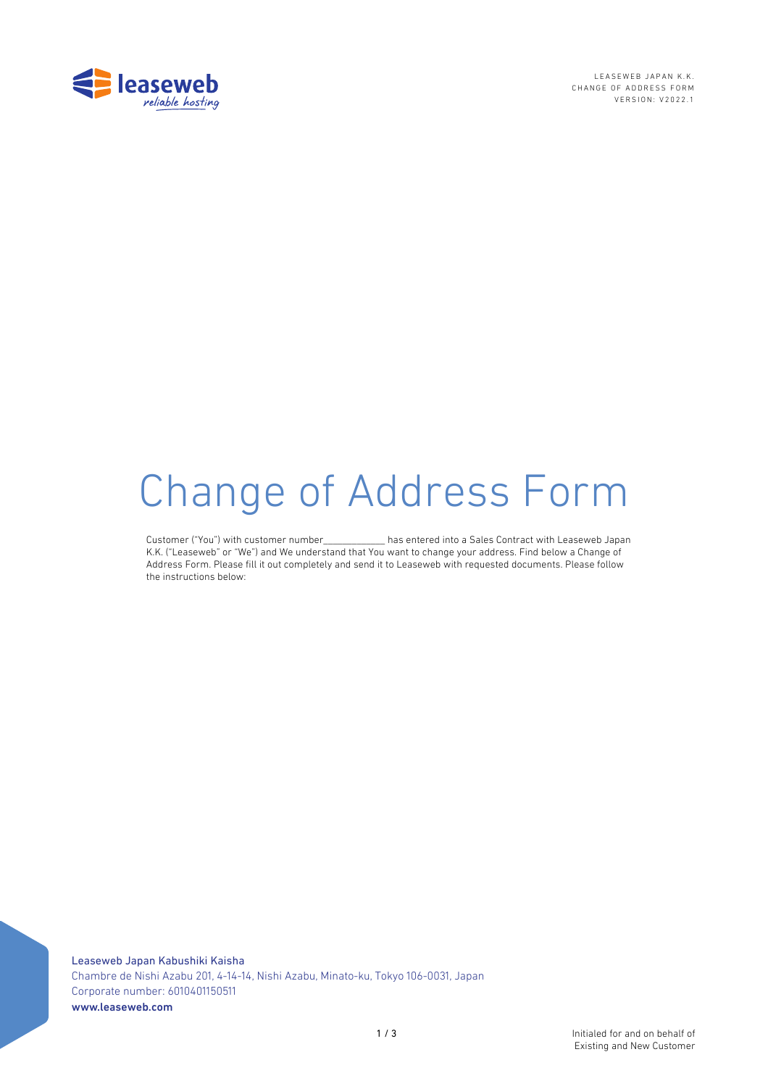

LEASEWEB JAPAN K.K. CHANGE OF ADDRESS FORM VERSION: V2022.1

# Change of Address Form

Customer ("You") with customer number\_\_\_\_\_\_\_\_\_\_\_\_\_ has entered into a Sales Contract with Leaseweb Japan K.K. ("Leaseweb" or "We") and We understand that You want to change your address. Find below a Change of Address Form. Please fill it out completely and send it to Leaseweb with requested documents. Please follow the instructions below: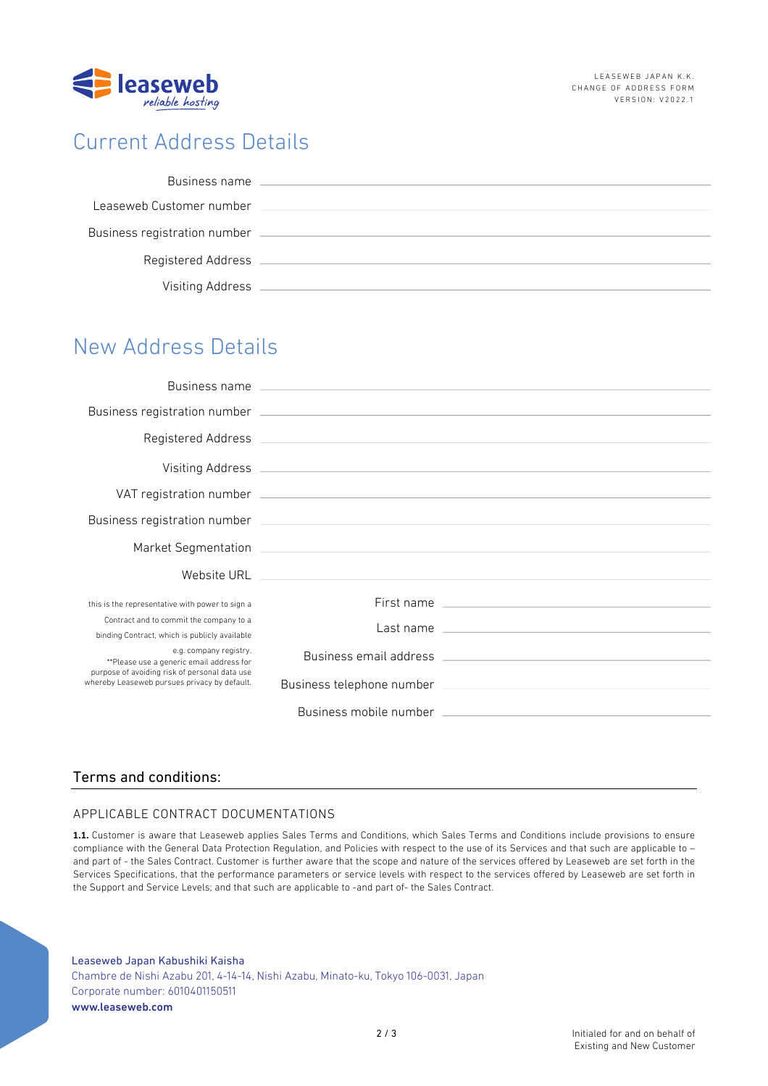

# Current Address Details

| Business name                |  |
|------------------------------|--|
| Leaseweb Customer number     |  |
| Business registration number |  |
| <b>Registered Address</b>    |  |
| Visiting Address             |  |

# New Address Details

|                                                                                                                                                                     | Visiting Address <u>New York: Wisiting Address</u>                                                             |
|---------------------------------------------------------------------------------------------------------------------------------------------------------------------|----------------------------------------------------------------------------------------------------------------|
|                                                                                                                                                                     | VAT registration number experience and a series of the series of the series of the series of the series of the |
|                                                                                                                                                                     |                                                                                                                |
|                                                                                                                                                                     | Market Segmentation 2008 2009 2010 2021 2022 2023 2024 2022 2023 2024 2022 2023 2024 2022 2023 2024 2022 2023  |
|                                                                                                                                                                     |                                                                                                                |
| this is the representative with power to sign a                                                                                                                     | First name                                                                                                     |
| Contract and to commit the company to a<br>binding Contract, which is publicly available                                                                            |                                                                                                                |
| e.g. company registry.<br>**Please use a generic email address for<br>purpose of avoiding risk of personal data use<br>whereby Leaseweb pursues privacy by default. |                                                                                                                |
|                                                                                                                                                                     |                                                                                                                |
|                                                                                                                                                                     |                                                                                                                |

## Terms and conditions:

## APPLICABLE CONTRACT DOCUMENTATIONS

**1.1.** Customer is aware that Leaseweb applies Sales Terms and Conditions, which Sales Terms and Conditions include provisions to ensure compliance with the General Data Protection Regulation, and Policies with respect to the use of its Services and that such are applicable to – and part of - the Sales Contract. Customer is further aware that the scope and nature of the services offered by Leaseweb are set forth in the Services Specifications, that the performance parameters or service levels with respect to the services offered by Leaseweb are set forth in the Support and Service Levels; and that such are applicable to -and part of- the Sales Contract.

Leaseweb Japan Kabushiki Kaisha Chambre de Nishi Azabu 201, 4-14-14, Nishi Azabu, Minato-ku, Tokyo 106-0031, Japan Corporate number: 6010401150511 www.leaseweb.com